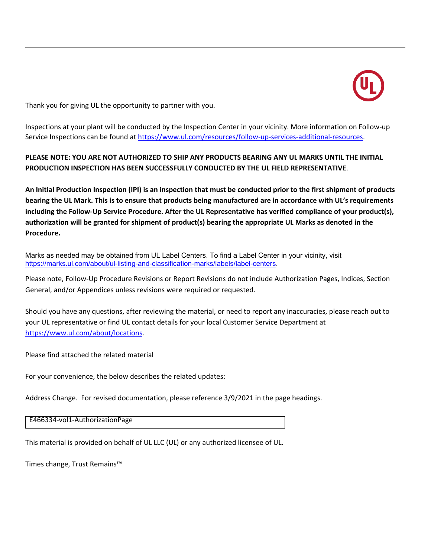

Thank you for giving UL the opportunity to partner with you.

Inspections at your plant will be conducted by the Inspection Center in your vicinity. More information on Follow-up Service Inspections can be found at <https://www.ul.com/resources/follow-up-services-additional-resources>.

# **PLEASE NOTE: YOU ARE NOT AUTHORIZED TO SHIP ANY PRODUCTS BEARING ANY UL MARKS UNTIL THE INITIAL PRODUCTION INSPECTION HAS BEEN SUCCESSFULLY CONDUCTED BY THE UL FIELD REPRESENTATIVE**.

**An Initial Production Inspection (IPI) is an inspection that must be conducted prior to the first shipment of products bearing the UL Mark. This is to ensure that products being manufactured are in accordance with UL's requirements including the Follow-Up Service Procedure. After the UL Representative has verified compliance of your product(s), authorization will be granted for shipment of product(s) bearing the appropriate UL Marks as denoted in the Procedure.**

Marks as needed may be obtained from UL Label Centers. To find a Label Center in your vicinity, visit <https://marks.ul.com/about/ul-listing-and-classification-marks/labels/label-centers>.

Please note, Follow-Up Procedure Revisions or Report Revisions do not include Authorization Pages, Indices, Section General, and/or Appendices unless revisions were required or requested.

Should you have any questions, after reviewing the material, or need to report any inaccuracies, please reach out to your UL representative or find UL contact details for your local Customer Service Department at <https://www.ul.com/about/locations>.

Please find attached the related material

For your convenience, the below describes the related updates:

Address Change. For revised documentation, please reference 3/9/2021 in the page headings.

E466334-vol1-AuthorizationPage

This material is provided on behalf of UL LLC (UL) or any authorized licensee of UL.

Times change, Trust Remains™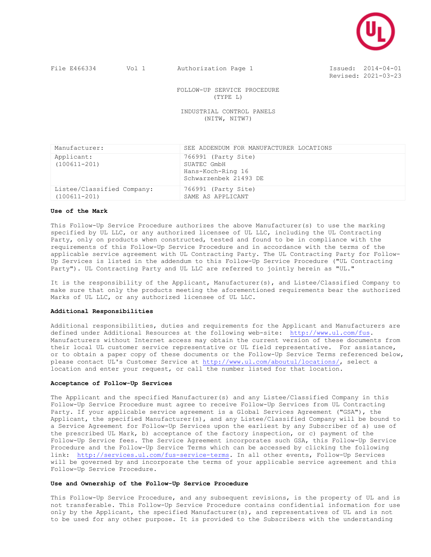

File E466334 Vol 1 Authorization Page 1 1ssued: 2014-04-01

Revised: 2021-03-23

FOLLOW-UP SERVICE PROCEDURE (TYPE L)

INDUSTRIAL CONTROL PANELS (NITW, NITW7)

| Manufacturer:                                  | SEE ADDENDUM FOR MANUFACTURER LOCATIONS                                          |
|------------------------------------------------|----------------------------------------------------------------------------------|
| Applicant:<br>$(100611 - 201)$                 | 766991 (Party Site)<br>SUATEC GmbH<br>Hans-Koch-Ring 16<br>Schwarzenbek 21493 DE |
| Listee/Classified Company:<br>$(100611 - 201)$ | 766991 (Party Site)<br>SAME AS APPLICANT                                         |

### **Use of the Mark**

This Follow-Up Service Procedure authorizes the above Manufacturer(s) to use the marking specified by UL LLC, or any authorized licensee of UL LLC, including the UL Contracting Party, only on products when constructed, tested and found to be in compliance with the requirements of this Follow-Up Service Procedure and in accordance with the terms of the applicable service agreement with UL Contracting Party. The UL Contracting Party for Follow-Up Services is listed in the addendum to this Follow-Up Service Procedure ("UL Contracting Party"). UL Contracting Party and UL LLC are referred to jointly herein as "UL."

It is the responsibility of the Applicant, Manufacturer(s), and Listee/Classified Company to make sure that only the products meeting the aforementioned requirements bear the authorized Marks of UL LLC, or any authorized licensee of UL LLC.

#### **Additional Responsibilities**

Additional responsibilities, duties and requirements for the Applicant and Manufacturers are defined under Additional Resources at the following web-site: http://www.ul.com/fus. Manufacturers without Internet access may obtain the current version of these documents from their local UL customer service representative or UL field representative. For assistance, or to obtain a paper copy of these documents or the Follow-Up Service Terms referenced below, please contact UL's Customer Service at http://www.ul.com/aboutul/locations/, select a location and enter your request, or call the number listed for that location.

### **Acceptance of Follow-Up Services**

The Applicant and the specified Manufacturer(s) and any Listee/Classified Company in this Follow-Up Service Procedure must agree to receive Follow-Up Services from UL Contracting Party. If your applicable service agreement is a Global Services Agreement ("GSA"), the Applicant, the specified Manufacturer(s), and any Listee/Classified Company will be bound to a Service Agreement for Follow-Up Services upon the earliest by any Subscriber of a) use of the prescribed UL Mark, b) acceptance of the factory inspection, or c) payment of the Follow-Up Service fees. The Service Agreement incorporates such GSA, this Follow-Up Service Procedure and the Follow-Up Service Terms which can be accessed by clicking the following link: http://services.ul.com/fus-service-terms. In all other events, Follow-Up Services will be governed by and incorporate the terms of your applicable service agreement and this Follow-Up Service Procedure.

### **Use and Ownership of the Follow-Up Service Procedure**

This Follow-Up Service Procedure, and any subsequent revisions, is the property of UL and is not transferable. This Follow-Up Service Procedure contains confidential information for use only by the Applicant, the specified Manufacturer(s), and representatives of UL and is not to be used for any other purpose. It is provided to the Subscribers with the understanding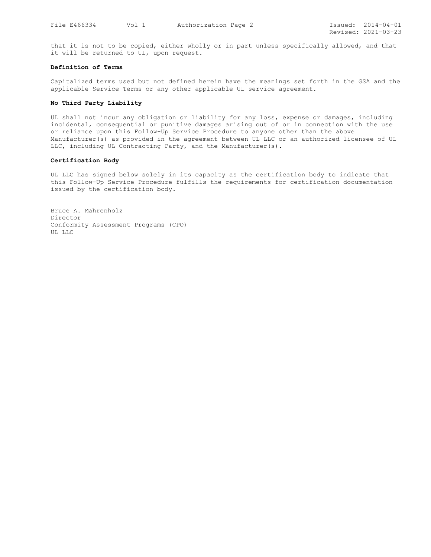that it is not to be copied, either wholly or in part unless specifically allowed, and that it will be returned to UL, upon request.

### **Definition of Terms**

Capitalized terms used but not defined herein have the meanings set forth in the GSA and the applicable Service Terms or any other applicable UL service agreement.

### **No Third Party Liability**

UL shall not incur any obligation or liability for any loss, expense or damages, including incidental, consequential or punitive damages arising out of or in connection with the use or reliance upon this Follow-Up Service Procedure to anyone other than the above Manufacturer(s) as provided in the agreement between UL LLC or an authorized licensee of UL LLC, including UL Contracting Party, and the Manufacturer(s).

### **Certification Body**

UL LLC has signed below solely in its capacity as the certification body to indicate that this Follow-Up Service Procedure fulfills the requirements for certification documentation issued by the certification body.

Bruce A. Mahrenholz Director Conformity Assessment Programs (CPO) UL LLC